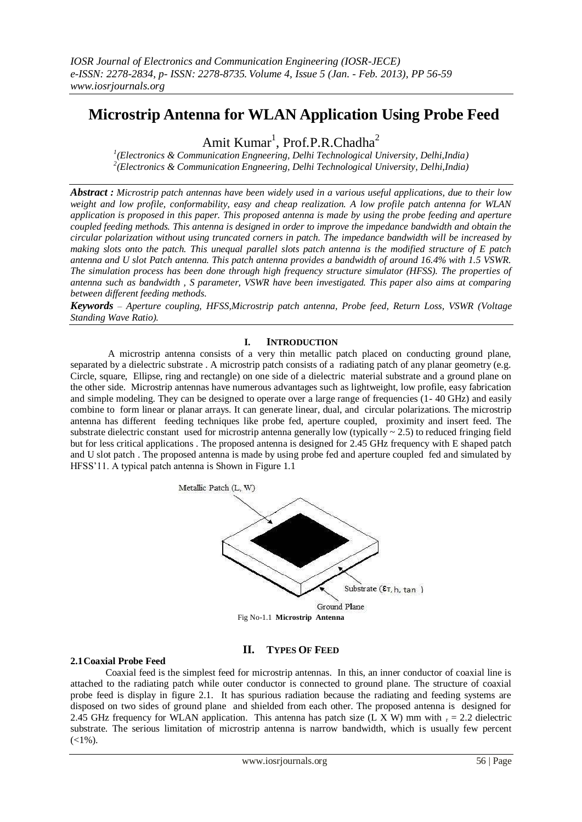# **Microstrip Antenna for WLAN Application Using Probe Feed**

Amit Kumar<sup>1</sup>, Prof.P.R.Chadha<sup>2</sup>

*1 (Electronics & Communication Engneering, Delhi Technological University, Delhi,India) 2 (Electronics & Communication Engneering, Delhi Technological University, Delhi,India)*

*Abstract : Microstrip patch antennas have been widely used in a various useful applications, due to their low weight and low profile, conformability, easy and cheap realization. A low profile patch antenna for WLAN application is proposed in this paper. This proposed antenna is made by using the probe feeding and aperture coupled feeding methods. This antenna is designed in order to improve the impedance bandwidth and obtain the circular polarization without using truncated corners in patch. The impedance bandwidth will be increased by making slots onto the patch. This unequal parallel slots patch antenna is the modified structure of E patch antenna and U slot Patch antenna. This patch antenna provides a bandwidth of around 16.4% with 1.5 VSWR. The simulation process has been done through high frequency structure simulator (HFSS). The properties of antenna such as bandwidth , S parameter, VSWR have been investigated. This paper also aims at comparing between different feeding methods.*

*Keywords – Aperture coupling, HFSS,Microstrip patch antenna, Probe feed, Return Loss, VSWR (Voltage Standing Wave Ratio).*

# **I. INTRODUCTION**

A microstrip antenna consists of a very thin metallic patch placed on conducting ground plane, separated by a dielectric substrate . A microstrip patch consists of a radiating patch of any planar geometry (e.g. Circle, square, Ellipse, ring and rectangle) on one side of a dielectric material substrate and a ground plane on the other side. Microstrip antennas have numerous advantages such as lightweight, low profile, easy fabrication and simple modeling. They can be designed to operate over a large range of frequencies (1- 40 GHz) and easily combine to form linear or planar arrays. It can generate linear, dual, and circular polarizations. The microstrip antenna has different feeding techniques like probe fed, aperture coupled, proximity and insert feed. The substrate dielectric constant used for microstrip antenna generally low (typically  $\sim 2.5$ ) to reduced fringing field but for less critical applications . The proposed antenna is designed for 2.45 GHz frequency with E shaped patch and U slot patch . The proposed antenna is made by using probe fed and aperture coupled fed and simulated by HFSS'11. A typical patch antenna is Shown in Figure 1.1



# **II. TYPES OF FEED**

## **2.1Coaxial Probe Feed**

Coaxial feed is the simplest feed for microstrip antennas. In this, an inner conductor of coaxial line is attached to the radiating patch while outer conductor is connected to ground plane. The structure of coaxial probe feed is display in figure 2.1. It has spurious radiation because the radiating and feeding systems are disposed on two sides of ground plane and shielded from each other. The proposed antenna is designed for 2.45 GHz frequency for WLAN application. This antenna has patch size (L X W) mm with  $r = 2.2$  dielectric substrate. The serious limitation of microstrip antenna is narrow bandwidth, which is usually few percent  $(<1%$ ).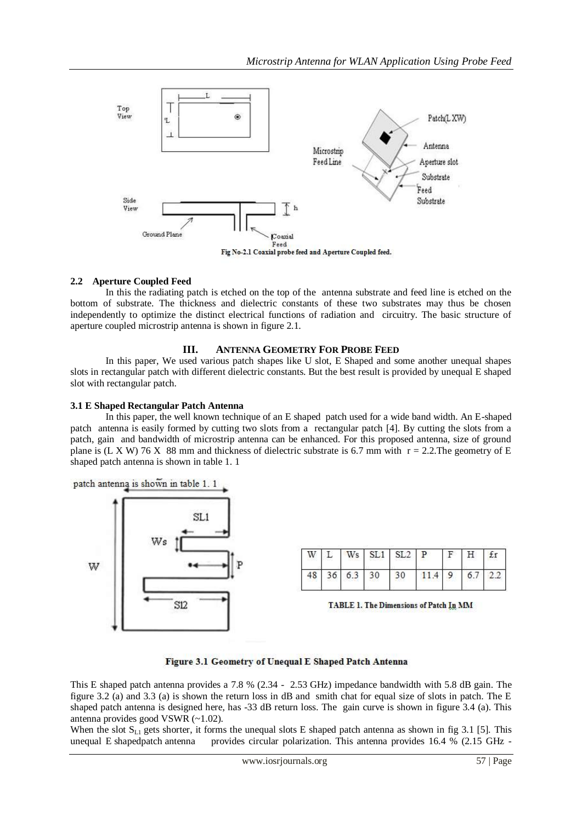

# **2.2 Aperture Coupled Feed**

In this the radiating patch is etched on the top of the antenna substrate and feed line is etched on the bottom of substrate. The thickness and dielectric constants of these two substrates may thus be chosen independently to optimize the distinct electrical functions of radiation and circuitry. The basic structure of aperture coupled microstrip antenna is shown in figure 2.1.

## **III. ANTENNA GEOMETRY FOR PROBE FEED**

In this paper, We used various patch shapes like U slot, E Shaped and some another unequal shapes slots in rectangular patch with different dielectric constants. But the best result is provided by unequal E shaped slot with rectangular patch.

#### **3.1 E Shaped Rectangular Patch Antenna**

In this paper, the well known technique of an E shaped patch used for a wide band width. An E-shaped patch antenna is easily formed by cutting two slots from a rectangular patch [4]. By cutting the slots from a patch, gain and bandwidth of microstrip antenna can be enhanced. For this proposed antenna, size of ground plane is (L X W) 76 X 88 mm and thickness of dielectric substrate is 6.7 mm with  $r = 2.2$ . The geometry of E shaped patch antenna is shown in table 1. 1



|  |  | $W$ L Ws SL1 SL2 P F H fr      |  |  |
|--|--|--------------------------------|--|--|
|  |  | 48 36 6.3 30 30 11.4 9 6.7 2.2 |  |  |

TABLE 1. The Dimensions of Patch In MM

## Figure 3.1 Geometry of Unequal E Shaped Patch Antenna

This E shaped patch antenna provides a 7.8 % (2.34 - 2.53 GHz) impedance bandwidth with 5.8 dB gain. The figure 3.2 (a) and 3.3 (a) is shown the return loss in dB and smith chat for equal size of slots in patch. The E shaped patch antenna is designed here, has -33 dB return loss. The gain curve is shown in figure 3.4 (a). This antenna provides good VSWR (~1.02).

When the slot  $S_{L1}$  gets shorter, it forms the unequal slots E shaped patch antenna as shown in fig 3.1 [5]. This unequal E shapedpatch antenna provides circular polarization. This antenna provides 16.4 % (2.15 GHz -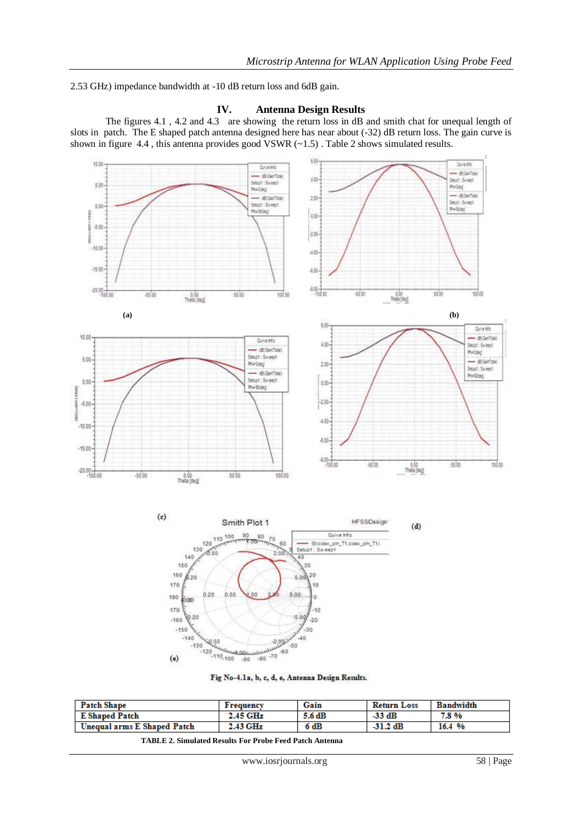2.53 GHz) impedance bandwidth at -10 dB return loss and 6dB gain.

# **IV. Antenna Design Results**

The figures 4.1, 4.2 and 4.3 are showing the return loss in dB and smith chat for unequal length of slots in patch. The E shaped patch antenna designed here has near about (-32) dB return loss. The gain curve is shown in figure 4.4 , this antenna provides good VSWR (~1.5) . Table 2 shows simulated results.







| <b>Patch Shape</b>          | <b>Frequency</b> | Gain   | <b>Return Loss</b> | <b>Bandwidth</b> |
|-----------------------------|------------------|--------|--------------------|------------------|
| <b>E</b> Shaped Patch       | 2.45 GHz         | 5.6 dB | $-33$ dB           | 7.8%             |
| Unequal arms E Shaped Patch | 2.43 GHz         | 6 dB   | $-31.2$ dB         | 16.4 %           |

 **TABLE 2. Simulated Results For Probe Feed Patch Antenna**